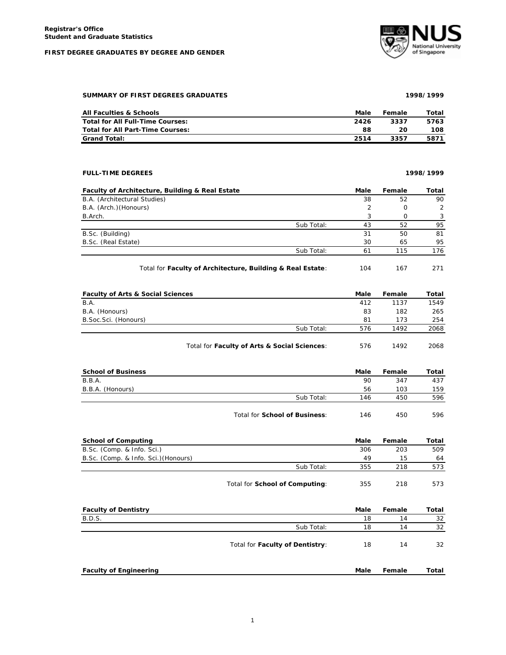#### **FIRST DEGREE GRADUATES BY DEGREE AND GENDER**



# **SUMMARY OF FIRST DEGREES GRADUATES 1998/1999**

| All Faculties & Schools          | Male | Female | Total |
|----------------------------------|------|--------|-------|
| Total for All Full-Time Courses: | 2426 | 3337   | 5763  |
| Total for All Part-Time Courses: | 88   | 20     | 108   |
| <b>Grand Total:</b>              | 2514 | 3357   | 5871  |

# **FULL-TIME DEGREES 1998/1999**

| Faculty of Architecture, Building & Real Estate |            | Male | Female | Total |
|-------------------------------------------------|------------|------|--------|-------|
| B.A. (Architectural Studies)                    |            | 38   | 52     | 90    |
| B.A. (Arch.) (Honours)                          |            |      | O      | 2     |
| B.Arch.                                         |            |      | Ω      | 3     |
|                                                 | Sub Total: | 43   | 52     | 95    |
| B.Sc. (Building)                                |            | 31   | 50     | 81    |
| B.Sc. (Real Estate)                             |            | 30   | 65     | 95    |
|                                                 | Sub Total: | 61   | 115    | 176   |
|                                                 |            |      |        |       |

Total for **Faculty of Architecture, Building & Real Estate**: 104 167 271

| <b>Faculty of Arts &amp; Social Sciences</b> |                                              | Male | Female | Total |
|----------------------------------------------|----------------------------------------------|------|--------|-------|
| B.A.                                         |                                              | 412  | 1137   | 1549  |
| B.A. (Honours)                               |                                              | 83   | 182    | 265   |
| B.Soc.Sci. (Honours)                         |                                              | 81   | 173    | 254   |
|                                              | Sub Total:                                   | 576  | 1492   | 2068  |
|                                              | Total for Faculty of Arts & Social Sciences: | 576  | 1492   | 2068  |

| <b>School of Business</b> |                                      | Male | Female | Total |
|---------------------------|--------------------------------------|------|--------|-------|
| B.B.A.                    |                                      | 90   | 347    | 437   |
| B.B.A. (Honours)          |                                      | 56   | 103    | 159   |
|                           | Sub Total:                           | 146  | 450    | 596   |
|                           | Total for <b>School of Business:</b> | 146  | 450    | 596   |

| <b>School of Computing</b>           |                                | Male | Female | Total |
|--------------------------------------|--------------------------------|------|--------|-------|
| B.Sc. (Comp. & Info. Sci.)           |                                | 306  | 203    | 509   |
| B.Sc. (Comp. & Info. Sci.) (Honours) |                                | 49   | 15     | 64    |
|                                      | Sub Total:                     | 355  | 218    | 573   |
|                                      | Total for School of Computing: | 355  | 218    | 573   |

| <b>Faculty of Dentistry</b>   |                                 | Male | Female | Total |
|-------------------------------|---------------------------------|------|--------|-------|
| <b>B.D.S.</b>                 |                                 | 18   | 14     | 32    |
|                               | Sub Total:                      | 18   | 14     | 32    |
|                               | Total for Faculty of Dentistry: | 18   | 14     | 32    |
| <b>Faculty of Engineering</b> |                                 | Male | Female | Total |